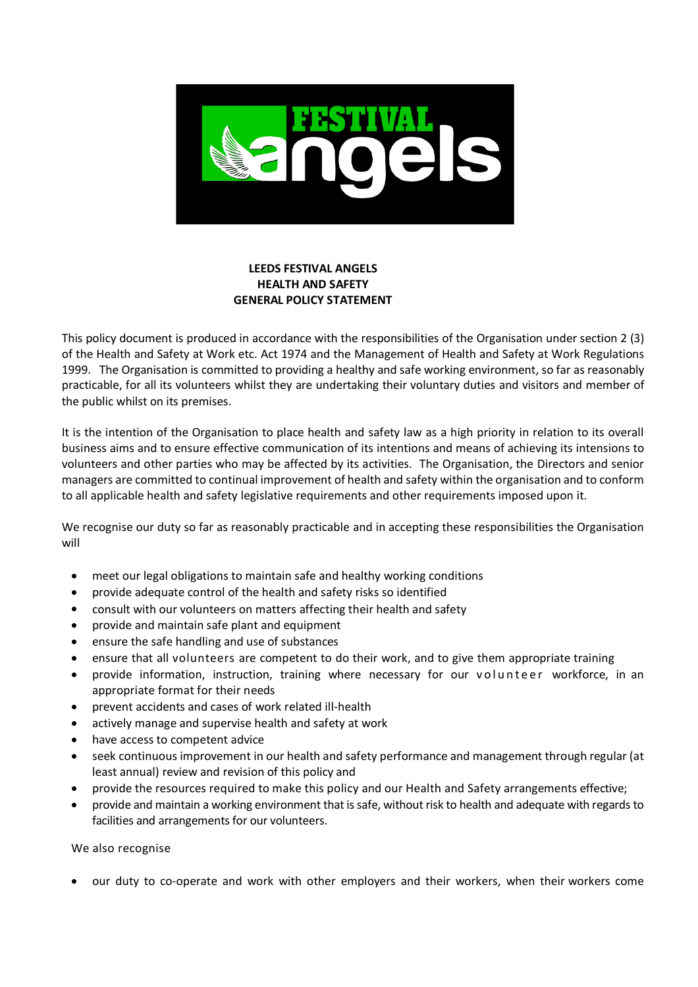

## **LEEDS FESTIVAL ANGELS HEALTH AND SAFETY GENERAL POLICY STATEMENT**

This policy document is produced in accordance with the responsibilities of the Organisation under section 2 (3) of the Health and Safety at Work etc. Act 1974 and the Management of Health and Safety at Work Regulations 1999. The Organisation is committed to providing a healthy and safe working environment, so far as reasonably practicable, for all its volunteers whilst they are undertaking their voluntary duties and visitors and member of the public whilst on its premises.

It is the intention of the Organisation to place health and safety law as a high priority in relation to its overall business aims and to ensure effective communication of its intentions and means of achieving its intensions to volunteers and other parties who may be affected by its activities. The Organisation, the Directors and senior managers are committed to continual improvement of health and safety within the organisation and to conform to all applicable health and safety legislative requirements and other requirements imposed upon it.

We recognise our duty so far as reasonably practicable and in accepting these responsibilities the Organisation will

- meet our legal obligations to maintain safe and healthy working conditions
- provide adequate control of the health and safety risks so identified
- consult with our volunteers on matters affecting their health and safety
- provide and maintain safe plant and equipment
- ensure the safe handling and use of substances
- ensure that all volunteers are competent to do their work, and to give them appropriate training
- provide information, instruction, training where necessary for our volunteer workforce, in an appropriate format for their needs
- prevent accidents and cases of work related ill-health
- actively manage and supervise health and safety at work
- have access to competent advice
- seek continuous improvement in our health and safety performance and management through regular (at least annual) review and revision of this policy and
- provide the resources required to make this policy and our Health and Safety arrangements effective;
- provide and maintain a working environment that is safe, without risk to health and adequate with regards to facilities and arrangements for our volunteers.

We also recognise

• our duty to co-operate and work with other employers and their workers, when their workers come